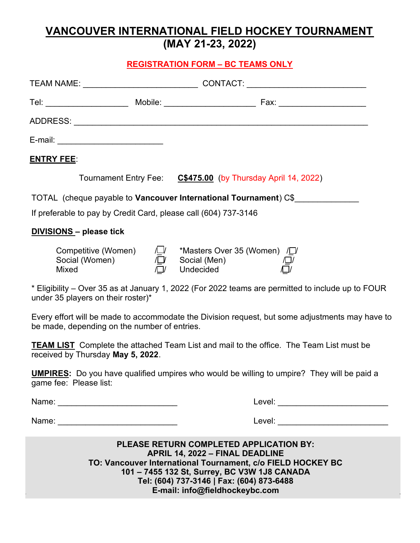# **VANCOUVER INTERNATIONAL FIELD HOCKEY TOURNAMENT (MAY 21-23, 2022)**

### **REGISTRATION FORM – BC TEAMS ONLY**

| <b>ENTRY FEE:</b>                                                                                                                                                                                       |  |                                                                                                                        |  |  |
|---------------------------------------------------------------------------------------------------------------------------------------------------------------------------------------------------------|--|------------------------------------------------------------------------------------------------------------------------|--|--|
|                                                                                                                                                                                                         |  | Tournament Entry Fee: C\$475.00 (by Thursday April 14, 2022)                                                           |  |  |
| TOTAL (cheque payable to Vancouver International Tournament) C\$                                                                                                                                        |  |                                                                                                                        |  |  |
| If preferable to pay by Credit Card, please call (604) 737-3146                                                                                                                                         |  |                                                                                                                        |  |  |
| <b>DIVISIONS-</b> please tick                                                                                                                                                                           |  |                                                                                                                        |  |  |
| Competitive (Women)<br>Social (Women)<br>Mixed                                                                                                                                                          |  | /❑/      *Masters Over 35 (Women<br>/❑/      Social (Men)<br>/❑/     Undecided                                         |  |  |
| * Eligibility – Over 35 as at January 1, 2022 (For 2022 teams are permitted to include up to FOUR<br>under 35 players on their roster)*                                                                 |  |                                                                                                                        |  |  |
| Every effort will be made to accommodate the Division request, but some adjustments may have to<br>be made, depending on the number of entries.                                                         |  |                                                                                                                        |  |  |
| <b>TEAM LIST</b> Complete the attached Team List and mail to the office. The Team List must be<br>received by Thursday May 5, 2022.                                                                     |  |                                                                                                                        |  |  |
| <b>UMPIRES:</b> Do you have qualified umpires who would be willing to umpire? They will be paid a<br>game fee: Please list:                                                                             |  |                                                                                                                        |  |  |
|                                                                                                                                                                                                         |  | Level: <u>Alexander Alexander Alexander Alexander Alexander Alexander Alexander Alexander Alexander Alexander Alex</u> |  |  |
|                                                                                                                                                                                                         |  |                                                                                                                        |  |  |
| <b>PLEASE RETURN COMPLETED APPLICATION BY:</b><br><b>APRIL 14, 2022 - FINAL DEADLINE</b><br>TO: Vancouver International Tournament, c/o FIELD HOCKEY BC<br>101 - 7455 132 St, Surrey, BC V3W 1J8 CANADA |  |                                                                                                                        |  |  |

**Tel: (604) 737-3146 | Fax: (604) 873-6488**

**E-mail: info@fieldhockeybc.com**